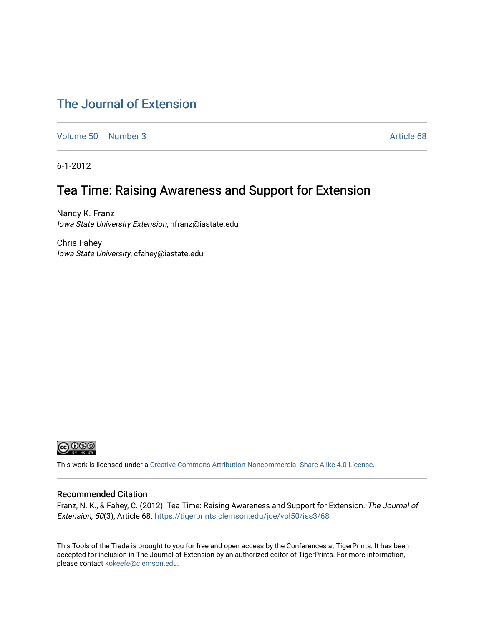# [The Journal of Extension](https://tigerprints.clemson.edu/joe)

[Volume 50](https://tigerprints.clemson.edu/joe/vol50) [Number 3](https://tigerprints.clemson.edu/joe/vol50/iss3) Article 68

6-1-2012

# Tea Time: Raising Awareness and Support for Extension

Nancy K. Franz Iowa State University Extension, nfranz@iastate.edu

Chris Fahey Iowa State University, cfahey@iastate.edu



This work is licensed under a [Creative Commons Attribution-Noncommercial-Share Alike 4.0 License.](https://creativecommons.org/licenses/by-nc-sa/4.0/)

#### Recommended Citation

Franz, N. K., & Fahey, C. (2012). Tea Time: Raising Awareness and Support for Extension. The Journal of Extension, 50(3), Article 68. <https://tigerprints.clemson.edu/joe/vol50/iss3/68>

This Tools of the Trade is brought to you for free and open access by the Conferences at TigerPrints. It has been accepted for inclusion in The Journal of Extension by an authorized editor of TigerPrints. For more information, please contact [kokeefe@clemson.edu](mailto:kokeefe@clemson.edu).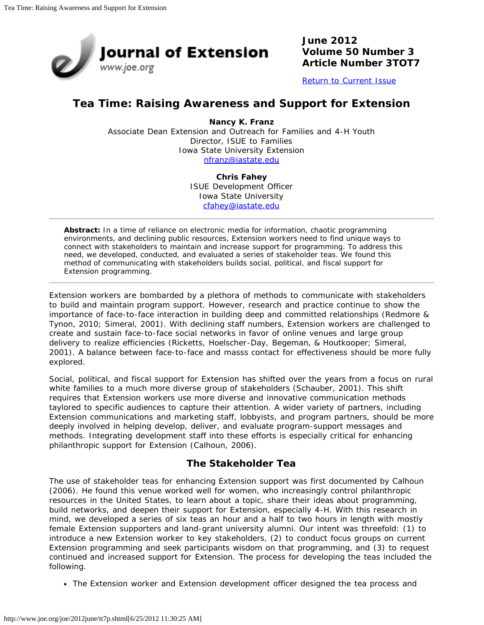

**June 2012 Volume 50 Number 3 Article Number 3TOT7**

[Return to Current Issue](http://www.joe.org/joe/2012june/)

## **Tea Time: Raising Awareness and Support for Extension**

**Nancy K. Franz** Associate Dean Extension and Outreach for Families and 4-H Youth Director, ISUE to Families Iowa State University Extension [nfranz@iastate.edu](mailto:nfranz@iastate.edu)

> **Chris Fahey** ISUE Development Officer Iowa State University [cfahey@iastate.edu](mailto:cfahey@iastate.edu)

*Abstract: In a time of reliance on electronic media for information, chaotic programming environments, and declining public resources, Extension workers need to find unique ways to connect with stakeholders to maintain and increase support for programming. To address this need, we developed, conducted, and evaluated a series of stakeholder teas. We found this method of communicating with stakeholders builds social, political, and fiscal support for Extension programming.*

Extension workers are bombarded by a plethora of methods to communicate with stakeholders to build and maintain program support. However, research and practice continue to show the importance of face-to-face interaction in building deep and committed relationships (Redmore & Tynon, 2010; Simeral, 2001). With declining staff numbers, Extension workers are challenged to create and sustain face-to-face social networks in favor of online venues and large group delivery to realize efficiencies (Ricketts, Hoelscher-Day, Begeman, & Houtkooper; Simeral, 2001). A balance between face-to-face and masss contact for effectiveness should be more fully explored.

Social, political, and fiscal support for Extension has shifted over the years from a focus on rural white families to a much more diverse group of stakeholders (Schauber, 2001). This shift requires that Extension workers use more diverse and innovative communication methods taylored to specific audiences to capture their attention. A wider variety of partners, including Extension communications and marketing staff, lobbyists, and program partners, should be more deeply involved in helping develop, deliver, and evaluate program-support messages and methods. Integrating development staff into these efforts is especially critical for enhancing philanthropic support for Extension (Calhoun, 2006).

## **The Stakeholder Tea**

The use of stakeholder teas for enhancing Extension support was first documented by Calhoun (2006). He found this venue worked well for women, who increasingly control philanthropic resources in the United States, to learn about a topic, share their ideas about programming, build networks, and deepen their support for Extension, especially 4-H. With this research in mind, we developed a series of six teas an hour and a half to two hours in length with mostly female Extension supporters and land-grant university alumni. Our intent was threefold: (1) to introduce a new Extension worker to key stakeholders, (2) to conduct focus groups on current Extension programming and seek participants wisdom on that programming, and (3) to request continued and increased support for Extension. The process for developing the teas included the following.

• The Extension worker and Extension development officer designed the tea process and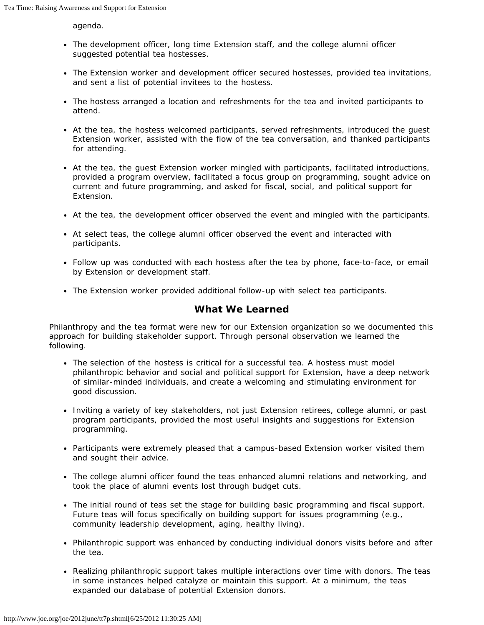agenda.

- The development officer, long time Extension staff, and the college alumni officer suggested potential tea hostesses.
- The Extension worker and development officer secured hostesses, provided tea invitations, and sent a list of potential invitees to the hostess.
- The hostess arranged a location and refreshments for the tea and invited participants to attend.
- At the tea, the hostess welcomed participants, served refreshments, introduced the guest Extension worker, assisted with the flow of the tea conversation, and thanked participants for attending.
- At the tea, the guest Extension worker mingled with participants, facilitated introductions, provided a program overview, facilitated a focus group on programming, sought advice on current and future programming, and asked for fiscal, social, and political support for Extension.
- At the tea, the development officer observed the event and mingled with the participants.
- At select teas, the college alumni officer observed the event and interacted with participants.
- Follow up was conducted with each hostess after the tea by phone, face-to-face, or email by Extension or development staff.
- The Extension worker provided additional follow-up with select tea participants.

## **What We Learned**

Philanthropy and the tea format were new for our Extension organization so we documented this approach for building stakeholder support. Through personal observation we learned the following.

- The selection of the hostess is critical for a successful tea. A hostess must model philanthropic behavior and social and political support for Extension, have a deep network of similar-minded individuals, and create a welcoming and stimulating environment for good discussion.
- Inviting a variety of key stakeholders, not just Extension retirees, college alumni, or past program participants, provided the most useful insights and suggestions for Extension programming.
- Participants were extremely pleased that a campus-based Extension worker visited them and sought their advice.
- The college alumni officer found the teas enhanced alumni relations and networking, and took the place of alumni events lost through budget cuts.
- The initial round of teas set the stage for building basic programming and fiscal support. Future teas will focus specifically on building support for issues programming (e.g., community leadership development, aging, healthy living).
- Philanthropic support was enhanced by conducting individual donors visits before and after the tea.
- Realizing philanthropic support takes multiple interactions over time with donors. The teas in some instances helped catalyze or maintain this support. At a minimum, the teas expanded our database of potential Extension donors.